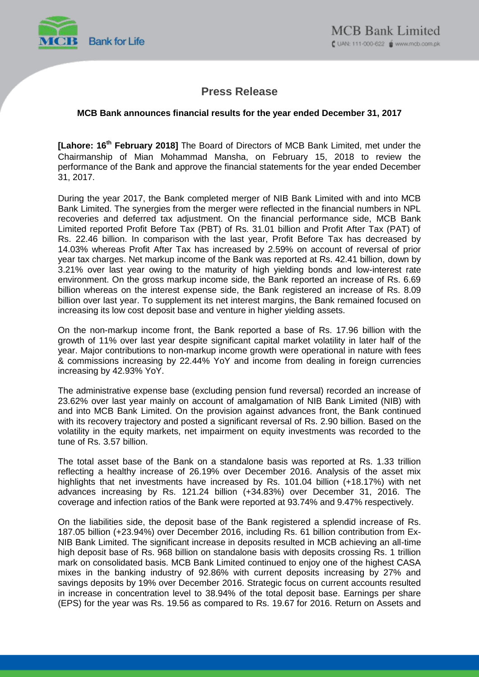

# **Press Release**

## **MCB Bank announces financial results for the year ended December 31, 2017**

[Lahore: 16<sup>th</sup> February 2018] The Board of Directors of MCB Bank Limited, met under the Chairmanship of Mian Mohammad Mansha, on February 15, 2018 to review the performance of the Bank and approve the financial statements for the year ended December 31, 2017.

During the year 2017, the Bank completed merger of NIB Bank Limited with and into MCB Bank Limited. The synergies from the merger were reflected in the financial numbers in NPL recoveries and deferred tax adjustment. On the financial performance side, MCB Bank Limited reported Profit Before Tax (PBT) of Rs. 31.01 billion and Profit After Tax (PAT) of Rs. 22.46 billion. In comparison with the last year, Profit Before Tax has decreased by 14.03% whereas Profit After Tax has increased by 2.59% on account of reversal of prior year tax charges. Net markup income of the Bank was reported at Rs. 42.41 billion, down by 3.21% over last year owing to the maturity of high yielding bonds and low-interest rate environment. On the gross markup income side, the Bank reported an increase of Rs. 6.69 billion whereas on the interest expense side, the Bank registered an increase of Rs. 8.09 billion over last year. To supplement its net interest margins, the Bank remained focused on increasing its low cost deposit base and venture in higher yielding assets.

On the non-markup income front, the Bank reported a base of Rs. 17.96 billion with the growth of 11% over last year despite significant capital market volatility in later half of the year. Major contributions to non-markup income growth were operational in nature with fees & commissions increasing by 22.44% YoY and income from dealing in foreign currencies increasing by 42.93% YoY.

The administrative expense base (excluding pension fund reversal) recorded an increase of 23.62% over last year mainly on account of amalgamation of NIB Bank Limited (NIB) with and into MCB Bank Limited. On the provision against advances front, the Bank continued with its recovery trajectory and posted a significant reversal of Rs. 2.90 billion. Based on the volatility in the equity markets, net impairment on equity investments was recorded to the tune of Rs. 3.57 billion.

The total asset base of the Bank on a standalone basis was reported at Rs. 1.33 trillion reflecting a healthy increase of 26.19% over December 2016. Analysis of the asset mix highlights that net investments have increased by Rs. 101.04 billion (+18.17%) with net advances increasing by Rs. 121.24 billion (+34.83%) over December 31, 2016. The coverage and infection ratios of the Bank were reported at 93.74% and 9.47% respectively.

On the liabilities side, the deposit base of the Bank registered a splendid increase of Rs. 187.05 billion (+23.94%) over December 2016, including Rs. 61 billion contribution from Ex-NIB Bank Limited. The significant increase in deposits resulted in MCB achieving an all-time high deposit base of Rs. 968 billion on standalone basis with deposits crossing Rs. 1 trillion mark on consolidated basis. MCB Bank Limited continued to enjoy one of the highest CASA mixes in the banking industry of 92.86% with current deposits increasing by 27% and savings deposits by 19% over December 2016. Strategic focus on current accounts resulted in increase in concentration level to 38.94% of the total deposit base. Earnings per share (EPS) for the year was Rs. 19.56 as compared to Rs. 19.67 for 2016. Return on Assets and